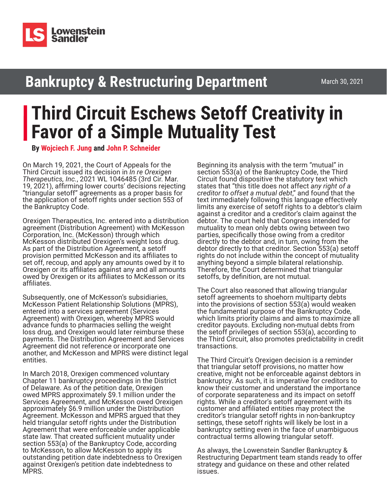

## **Bankruptcy & Restructuring Department**

March 30, 2021

## **Third Circuit Eschews Setoff Creativity in Favor of a Simple Mutuality Test**

**By [Wojciech F. Jung](https://www.lowenstein.com/people/attorneys/wojciech-jung) and [John P. Schneider](https://www.lowenstein.com/people/attorneys/john-schneider)**

On March 19, 2021, the Court of Appeals for the Third Circuit issued its decision in *In re Orexigen Therapeutics, Inc.*, 2021 WL 1046485 (3rd Cir. Mar. 19, 2021), affirming lower courts' decisions rejecting "triangular setoff" agreements as a proper basis for the application of setoff rights under section 553 of the Bankruptcy Code.

Orexigen Therapeutics, Inc. entered into a distribution agreement (Distribution Agreement) with McKesson Corporation, Inc. (McKesson) through which McKesson distributed Orexigen's weight loss drug. As part of the Distribution Agreement, a setoff provision permitted McKesson and its affiliates to set off, recoup, and apply any amounts owed by it to Orexigen or its affiliates against any and all amounts owed by Orexigen or its affiliates to McKesson or its affiliates.

Subsequently, one of McKesson's subsidiaries, McKesson Patient Relationship Solutions (MPRS), entered into a services agreement (Services Agreement) with Orexigen, whereby MPRS would advance funds to pharmacies selling the weight loss drug, and Orexigen would later reimburse these payments. The Distribution Agreement and Services Agreement did not reference or incorporate one another, and McKesson and MPRS were distinct legal entities.

In March 2018, Orexigen commenced voluntary Chapter 11 bankruptcy proceedings in the District of Delaware. As of the petition date, Orexigen owed MPRS approximately \$9.1 million under the Services Agreement, and McKesson owed Orexigen approximately \$6.9 million under the Distribution Agreement. McKesson and MPRS argued that they held triangular setoff rights under the Distribution Agreement that were enforceable under applicable state law. That created sufficient mutuality under section 553(a) of the Bankruptcy Code, according to McKesson, to allow McKesson to apply its outstanding petition date indebtedness to Orexigen against Orexigen's petition date indebtedness to MPRS.

Beginning its analysis with the term "mutual" in section 553(a) of the Bankruptcy Code, the Third Circuit found dispositive the statutory text which states that "this title does not affect *any right of a creditor to offset a mutual debt*," and found that the text immediately following this language effectively limits any exercise of setoff rights to a debtor's claim against a creditor and a creditor's claim against the debtor. The court held that Congress intended for mutuality to mean only debts owing between two parties, specifically those owing from a creditor directly to the debtor and, in turn, owing from the debtor directly to that creditor. Section 553(a) setoff rights do not include within the concept of mutuality anything beyond a simple bilateral relationship. Therefore, the Court determined that triangular setoffs, by definition, are not mutual.

The Court also reasoned that allowing triangular setoff agreements to shoehorn multiparty debts into the provisions of section 553(a) would weaken the fundamental purpose of the Bankruptcy Code, which limits priority claims and aims to maximize all creditor payouts. Excluding non-mutual debts from the setoff privileges of section 553(a), according to the Third Circuit, also promotes predictability in credit transactions.

The Third Circuit's Orexigen decision is a reminder that triangular setoff provisions, no matter how creative, might not be enforceable against debtors in bankruptcy. As such, it is imperative for creditors to know their customer and understand the importance of corporate separateness and its impact on setoff rights. While a creditor's setoff agreement with its customer and affiliated entities may protect the creditor's triangular setoff rights in non-bankruptcy settings, these setoff rights will likely be lost in a bankruptcy setting even in the face of unambiguous contractual terms allowing triangular setoff.

As always, the Lowenstein Sandler Bankruptcy & Restructuring Department team stands ready to offer strategy and guidance on these and other related issues.